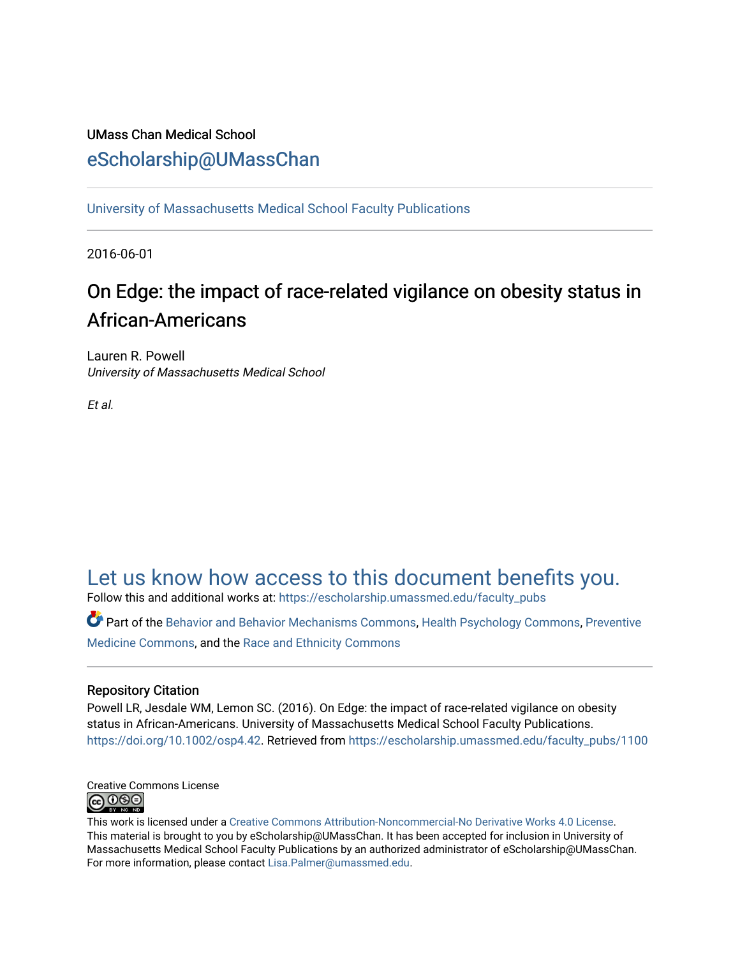## UMass Chan Medical School [eScholarship@UMassChan](https://escholarship.umassmed.edu/)

[University of Massachusetts Medical School Faculty Publications](https://escholarship.umassmed.edu/faculty_pubs)

2016-06-01

# On Edge: the impact of race-related vigilance on obesity status in African-Americans

Lauren R. Powell University of Massachusetts Medical School

Et al.

# [Let us know how access to this document benefits you.](https://arcsapps.umassmed.edu/redcap/surveys/?s=XWRHNF9EJE)

Follow this and additional works at: [https://escholarship.umassmed.edu/faculty\\_pubs](https://escholarship.umassmed.edu/faculty_pubs?utm_source=escholarship.umassmed.edu%2Ffaculty_pubs%2F1100&utm_medium=PDF&utm_campaign=PDFCoverPages) 

Part of the [Behavior and Behavior Mechanisms Commons,](http://network.bepress.com/hgg/discipline/963?utm_source=escholarship.umassmed.edu%2Ffaculty_pubs%2F1100&utm_medium=PDF&utm_campaign=PDFCoverPages) [Health Psychology Commons](http://network.bepress.com/hgg/discipline/411?utm_source=escholarship.umassmed.edu%2Ffaculty_pubs%2F1100&utm_medium=PDF&utm_campaign=PDFCoverPages), [Preventive](http://network.bepress.com/hgg/discipline/703?utm_source=escholarship.umassmed.edu%2Ffaculty_pubs%2F1100&utm_medium=PDF&utm_campaign=PDFCoverPages)  [Medicine Commons](http://network.bepress.com/hgg/discipline/703?utm_source=escholarship.umassmed.edu%2Ffaculty_pubs%2F1100&utm_medium=PDF&utm_campaign=PDFCoverPages), and the [Race and Ethnicity Commons](http://network.bepress.com/hgg/discipline/426?utm_source=escholarship.umassmed.edu%2Ffaculty_pubs%2F1100&utm_medium=PDF&utm_campaign=PDFCoverPages) 

## Repository Citation

Powell LR, Jesdale WM, Lemon SC. (2016). On Edge: the impact of race-related vigilance on obesity status in African-Americans. University of Massachusetts Medical School Faculty Publications. [https://doi.org/10.1002/osp4.42.](https://doi.org/10.1002/osp4.42) Retrieved from [https://escholarship.umassmed.edu/faculty\\_pubs/1100](https://escholarship.umassmed.edu/faculty_pubs/1100?utm_source=escholarship.umassmed.edu%2Ffaculty_pubs%2F1100&utm_medium=PDF&utm_campaign=PDFCoverPages) 



This work is licensed under a [Creative Commons Attribution-Noncommercial-No Derivative Works 4.0 License.](http://creativecommons.org/licenses/by-nc-nd/4.0/) This material is brought to you by eScholarship@UMassChan. It has been accepted for inclusion in University of Massachusetts Medical School Faculty Publications by an authorized administrator of eScholarship@UMassChan. For more information, please contact [Lisa.Palmer@umassmed.edu](mailto:Lisa.Palmer@umassmed.edu).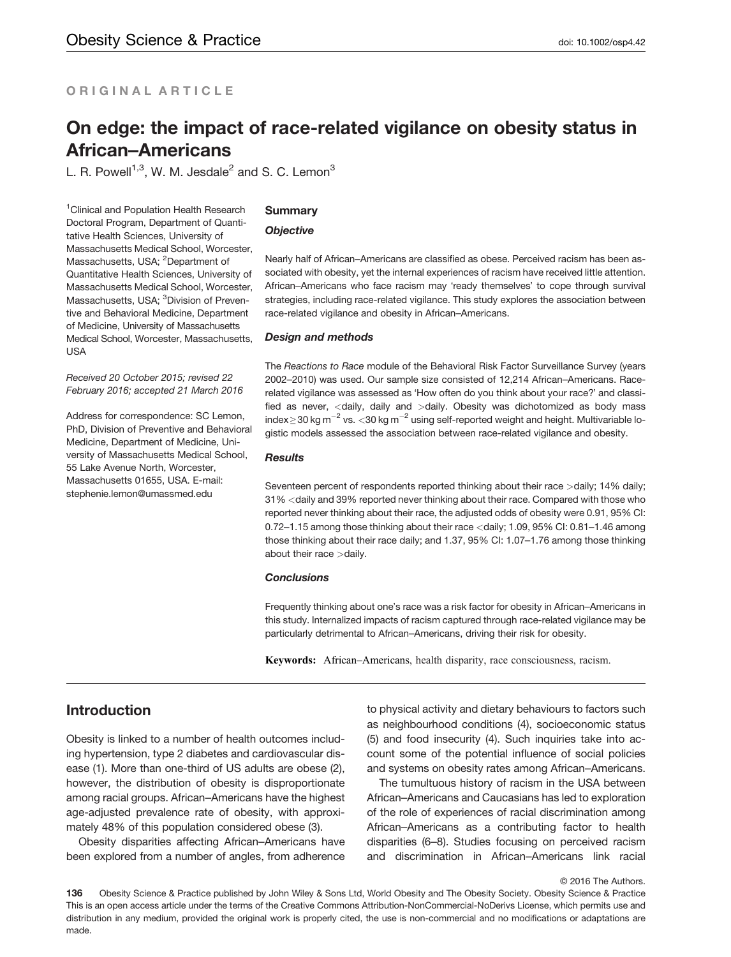## ORIGINAL ARTICLE

## On edge: the impact of race-related vigilance on obesity status in African–Americans

L. R. Powell<sup>1,3</sup>, W. M. Jesdale<sup>2</sup> and S. C. Lemon<sup>3</sup>

<sup>1</sup> Clinical and Population Health Research Doctoral Program, Department of Quantitative Health Sciences, University of Massachusetts Medical School, Worcester, Massachusetts, USA; <sup>2</sup>Department of Quantitative Health Sciences, University of Massachusetts Medical School, Worcester, Massachusetts, USA; <sup>3</sup>Division of Preventive and Behavioral Medicine, Department of Medicine, University of Massachusetts Medical School, Worcester, Massachusetts, USA

Received 20 October 2015; revised 22 February 2016; accepted 21 March 2016

Address for correspondence: SC Lemon, PhD, Division of Preventive and Behavioral Medicine, Department of Medicine, University of Massachusetts Medical School, 55 Lake Avenue North, Worcester, Massachusetts 01655, USA. E-mail: stephenie.lemon@umassmed.edu

#### **Summary**

#### **Objective**

Nearly half of African–Americans are classified as obese. Perceived racism has been associated with obesity, yet the internal experiences of racism have received little attention. African–Americans who face racism may 'ready themselves' to cope through survival strategies, including race-related vigilance. This study explores the association between race-related vigilance and obesity in African–Americans.

#### Design and methods

The Reactions to Race module of the Behavioral Risk Factor Surveillance Survey (years 2002–2010) was used. Our sample size consisted of 12,214 African–Americans. Racerelated vigilance was assessed as 'How often do you think about your race?' and classified as never, <daily, daily and >daily. Obesity was dichotomized as body mass index ≥ 30 kg m<sup>-2</sup> vs. <30 kg m<sup>-2</sup> using self-reported weight and height. Multivariable logistic models assessed the association between race-related vigilance and obesity.

#### Results

Seventeen percent of respondents reported thinking about their race >daily; 14% daily; 31% <daily and 39% reported never thinking about their race. Compared with those who reported never thinking about their race, the adjusted odds of obesity were 0.91, 95% CI: 0.72–1.15 among those thinking about their race <daily; 1.09, 95% CI: 0.81–1.46 among those thinking about their race daily; and 1.37, 95% CI: 1.07–1.76 among those thinking about their race >daily.

#### **Conclusions**

Frequently thinking about one's race was a risk factor for obesity in African–Americans in this study. Internalized impacts of racism captured through race-related vigilance may be particularly detrimental to African–Americans, driving their risk for obesity.

Keywords: African–Americans, health disparity, race consciousness, racism.

### Introduction

Obesity is linked to a number of health outcomes including hypertension, type 2 diabetes and cardiovascular disease (1). More than one-third of US adults are obese (2), however, the distribution of obesity is disproportionate among racial groups. African–Americans have the highest age-adjusted prevalence rate of obesity, with approximately 48% of this population considered obese (3).

Obesity disparities affecting African–Americans have been explored from a number of angles, from adherence to physical activity and dietary behaviours to factors such as neighbourhood conditions (4), socioeconomic status (5) and food insecurity (4). Such inquiries take into account some of the potential influence of social policies and systems on obesity rates among African–Americans.

The tumultuous history of racism in the USA between African–Americans and Caucasians has led to exploration of the role of experiences of racial discrimination among African–Americans as a contributing factor to health disparities (6–8). Studies focusing on perceived racism and discrimination in African–Americans link racial

© 2016 The Authors.

136 Obesity Science & Practice published by John Wiley & Sons Ltd, World Obesity and The Obesity Society. Obesity Science & Practice This is an open access article under the terms of the [Creative Commons Attribution-NonCommercial-NoDerivs](http://creativecommons.org/licenses/by-nc-nd/4.0/) License, which permits use and distribution in any medium, provided the original work is properly cited, the use is non-commercial and no modifications or adaptations are made.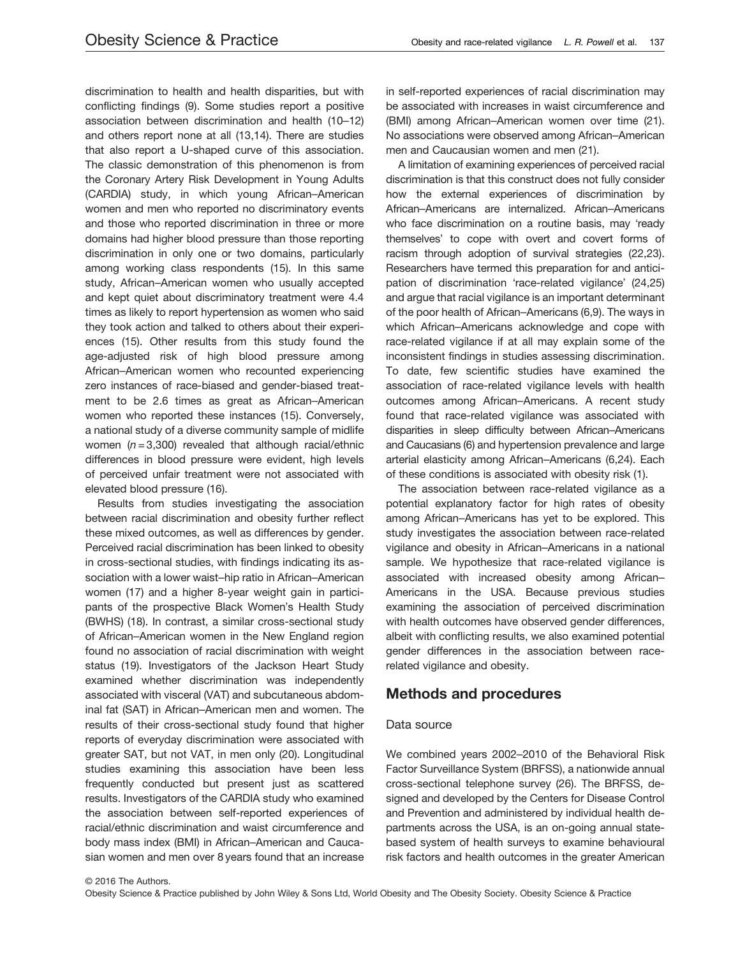discrimination to health and health disparities, but with conflicting findings (9). Some studies report a positive association between discrimination and health (10–12) and others report none at all (13,14). There are studies that also report a U-shaped curve of this association. The classic demonstration of this phenomenon is from the Coronary Artery Risk Development in Young Adults (CARDIA) study, in which young African–American women and men who reported no discriminatory events and those who reported discrimination in three or more domains had higher blood pressure than those reporting discrimination in only one or two domains, particularly among working class respondents (15). In this same study, African–American women who usually accepted and kept quiet about discriminatory treatment were 4.4 times as likely to report hypertension as women who said they took action and talked to others about their experiences (15). Other results from this study found the age-adjusted risk of high blood pressure among African–American women who recounted experiencing zero instances of race-biased and gender-biased treatment to be 2.6 times as great as African–American women who reported these instances (15). Conversely, a national study of a diverse community sample of midlife women  $(n = 3,300)$  revealed that although racial/ethnic differences in blood pressure were evident, high levels of perceived unfair treatment were not associated with elevated blood pressure (16).

Results from studies investigating the association between racial discrimination and obesity further reflect these mixed outcomes, as well as differences by gender. Perceived racial discrimination has been linked to obesity in cross-sectional studies, with findings indicating its association with a lower waist–hip ratio in African–American women (17) and a higher 8-year weight gain in participants of the prospective Black Women's Health Study (BWHS) (18). In contrast, a similar cross-sectional study of African–American women in the New England region found no association of racial discrimination with weight status (19). Investigators of the Jackson Heart Study examined whether discrimination was independently associated with visceral (VAT) and subcutaneous abdominal fat (SAT) in African–American men and women. The results of their cross-sectional study found that higher reports of everyday discrimination were associated with greater SAT, but not VAT, in men only (20). Longitudinal studies examining this association have been less frequently conducted but present just as scattered results. Investigators of the CARDIA study who examined the association between self-reported experiences of racial/ethnic discrimination and waist circumference and body mass index (BMI) in African–American and Caucasian women and men over 8 years found that an increase in self-reported experiences of racial discrimination may be associated with increases in waist circumference and (BMI) among African–American women over time (21). No associations were observed among African–American men and Caucausian women and men (21).

A limitation of examining experiences of perceived racial discrimination is that this construct does not fully consider how the external experiences of discrimination by African–Americans are internalized. African–Americans who face discrimination on a routine basis, may 'ready themselves' to cope with overt and covert forms of racism through adoption of survival strategies (22,23). Researchers have termed this preparation for and anticipation of discrimination 'race-related vigilance' (24,25) and argue that racial vigilance is an important determinant of the poor health of African–Americans (6,9). The ways in which African–Americans acknowledge and cope with race-related vigilance if at all may explain some of the inconsistent findings in studies assessing discrimination. To date, few scientific studies have examined the association of race-related vigilance levels with health outcomes among African–Americans. A recent study found that race-related vigilance was associated with disparities in sleep difficulty between African–Americans and Caucasians (6) and hypertension prevalence and large arterial elasticity among African–Americans (6,24). Each of these conditions is associated with obesity risk (1).

The association between race-related vigilance as a potential explanatory factor for high rates of obesity among African–Americans has yet to be explored. This study investigates the association between race-related vigilance and obesity in African–Americans in a national sample. We hypothesize that race-related vigilance is associated with increased obesity among African– Americans in the USA. Because previous studies examining the association of perceived discrimination with health outcomes have observed gender differences, albeit with conflicting results, we also examined potential gender differences in the association between racerelated vigilance and obesity.

## Methods and procedures

#### Data source

We combined years 2002–2010 of the Behavioral Risk Factor Surveillance System (BRFSS), a nationwide annual cross-sectional telephone survey (26). The BRFSS, designed and developed by the Centers for Disease Control and Prevention and administered by individual health departments across the USA, is an on-going annual statebased system of health surveys to examine behavioural risk factors and health outcomes in the greater American

© 2016 The Authors. Obesity Science & Practice published by John Wiley & Sons Ltd, World Obesity and The Obesity Society. Obesity Science & Practice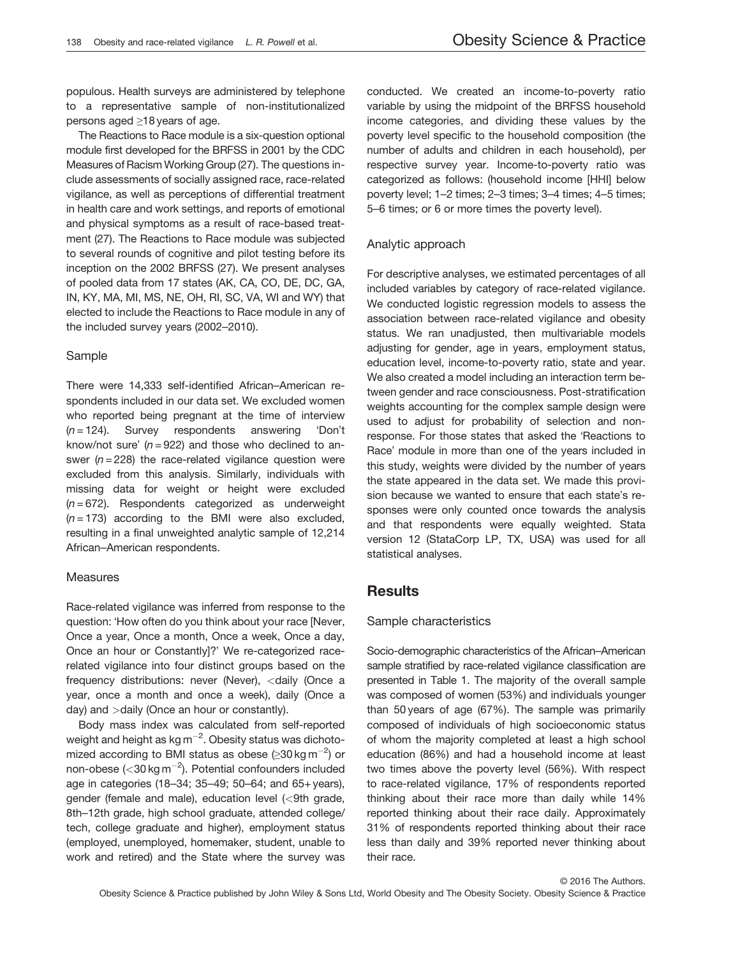populous. Health surveys are administered by telephone to a representative sample of non-institutionalized persons aged ≥18 years of age.

The Reactions to Race module is a six-question optional module first developed for the BRFSS in 2001 by the CDC Measures of Racism Working Group (27). The questions include assessments of socially assigned race, race-related vigilance, as well as perceptions of differential treatment in health care and work settings, and reports of emotional and physical symptoms as a result of race-based treatment (27). The Reactions to Race module was subjected to several rounds of cognitive and pilot testing before its inception on the 2002 BRFSS (27). We present analyses of pooled data from 17 states (AK, CA, CO, DE, DC, GA, IN, KY, MA, MI, MS, NE, OH, RI, SC, VA, WI and WY) that elected to include the Reactions to Race module in any of the included survey years (2002–2010).

#### Sample

There were 14,333 self-identified African–American respondents included in our data set. We excluded women who reported being pregnant at the time of interview  $(n = 124)$ . Survey respondents answering 'Don't know/not sure'  $(n = 922)$  and those who declined to answer ( $n = 228$ ) the race-related vigilance question were excluded from this analysis. Similarly, individuals with missing data for weight or height were excluded  $(n = 672)$ . Respondents categorized as underweight  $(n = 173)$  according to the BMI were also excluded, resulting in a final unweighted analytic sample of 12,214 African–American respondents.

#### Measures

Race-related vigilance was inferred from response to the question: 'How often do you think about your race [Never, Once a year, Once a month, Once a week, Once a day, Once an hour or Constantly]?' We re-categorized racerelated vigilance into four distinct groups based on the frequency distributions: never (Never), <daily (Once a year, once a month and once a week), daily (Once a day) and >daily (Once an hour or constantly).

Body mass index was calculated from self-reported weight and height as  $kg\,m^{-2}$ . Obesity status was dichotomized according to BMI status as obese ( $\geq$ 30 kg m<sup>-2</sup>) or non-obese ( $<$ 30 kg m<sup>-2</sup>). Potential confounders included age in categories (18–34; 35–49; 50–64; and 65+ years), gender (female and male), education level (<9th grade, 8th–12th grade, high school graduate, attended college/ tech, college graduate and higher), employment status (employed, unemployed, homemaker, student, unable to work and retired) and the State where the survey was conducted. We created an income-to-poverty ratio variable by using the midpoint of the BRFSS household income categories, and dividing these values by the poverty level specific to the household composition (the number of adults and children in each household), per respective survey year. Income-to-poverty ratio was categorized as follows: (household income [HHI] below poverty level; 1–2 times; 2–3 times; 3–4 times; 4–5 times; 5–6 times; or 6 or more times the poverty level).

#### Analytic approach

For descriptive analyses, we estimated percentages of all included variables by category of race-related vigilance. We conducted logistic regression models to assess the association between race-related vigilance and obesity status. We ran unadjusted, then multivariable models adjusting for gender, age in years, employment status, education level, income-to-poverty ratio, state and year. We also created a model including an interaction term between gender and race consciousness. Post-stratification weights accounting for the complex sample design were used to adjust for probability of selection and nonresponse. For those states that asked the 'Reactions to Race' module in more than one of the years included in this study, weights were divided by the number of years the state appeared in the data set. We made this provision because we wanted to ensure that each state's responses were only counted once towards the analysis and that respondents were equally weighted. Stata version 12 (StataCorp LP, TX, USA) was used for all statistical analyses.

### **Results**

#### Sample characteristics

Socio-demographic characteristics of the African–American sample stratified by race-related vigilance classification are presented in Table 1. The majority of the overall sample was composed of women (53%) and individuals younger than 50 years of age (67%). The sample was primarily composed of individuals of high socioeconomic status of whom the majority completed at least a high school education (86%) and had a household income at least two times above the poverty level (56%). With respect to race-related vigilance, 17% of respondents reported thinking about their race more than daily while 14% reported thinking about their race daily. Approximately 31% of respondents reported thinking about their race less than daily and 39% reported never thinking about their race.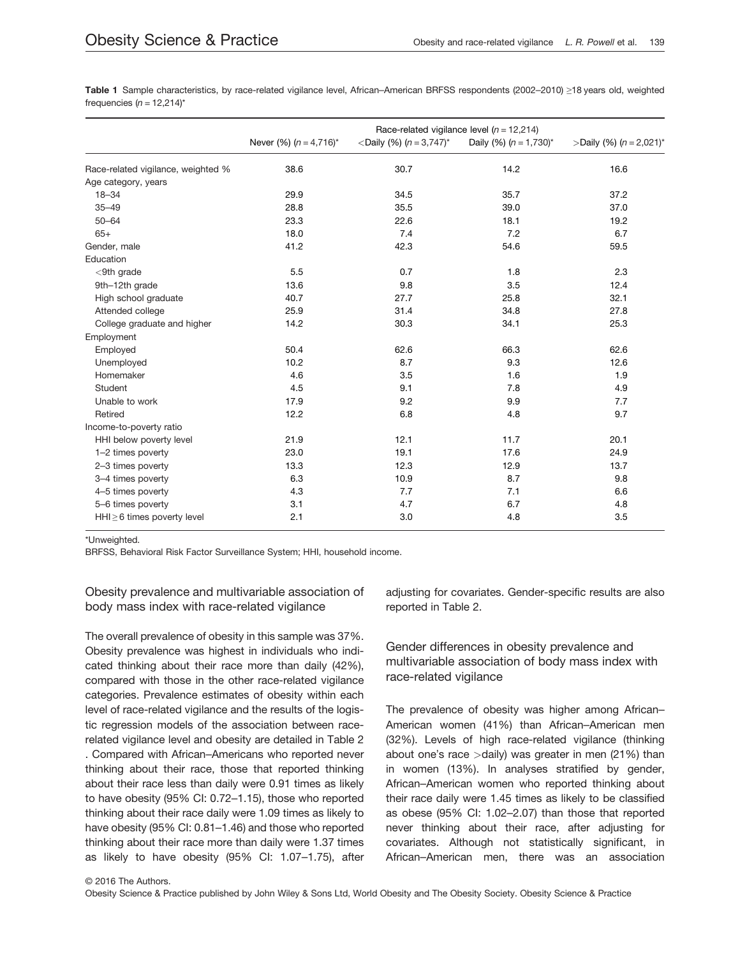Table 1 Sample characteristics, by race-related vigilance level, African–American BRFSS respondents (2002–2010) ≥18 years old, weighted frequencies ( $n = 12.214$ )\*

|                                    | Race-related vigilance level ( $n = 12,214$ ) |                                              |                             |                            |
|------------------------------------|-----------------------------------------------|----------------------------------------------|-----------------------------|----------------------------|
|                                    | Never (%) $(n = 4.716)^*$                     | <daily (%)="" <math="">(n = 3.747)^*</daily> | Daily (%) $(n = 1,730)^{*}$ | >Daily (%) $(n = 2,021)^*$ |
| Race-related vigilance, weighted % | 38.6                                          | 30.7                                         | 14.2                        | 16.6                       |
| Age category, years                |                                               |                                              |                             |                            |
| $18 - 34$                          | 29.9                                          | 34.5                                         | 35.7                        | 37.2                       |
| $35 - 49$                          | 28.8                                          | 35.5                                         | 39.0                        | 37.0                       |
| $50 - 64$                          | 23.3                                          | 22.6                                         | 18.1                        | 19.2                       |
| $65+$                              | 18.0                                          | 7.4                                          | 7.2                         | 6.7                        |
| Gender, male                       | 41.2                                          | 42.3                                         | 54.6                        | 59.5                       |
| Education                          |                                               |                                              |                             |                            |
| $<$ 9th grade                      | 5.5                                           | 0.7                                          | 1.8                         | 2.3                        |
| 9th-12th grade                     | 13.6                                          | 9.8                                          | 3.5                         | 12.4                       |
| High school graduate               | 40.7                                          | 27.7                                         | 25.8                        | 32.1                       |
| Attended college                   | 25.9                                          | 31.4                                         | 34.8                        | 27.8                       |
| College graduate and higher        | 14.2                                          | 30.3                                         | 34.1                        | 25.3                       |
| Employment                         |                                               |                                              |                             |                            |
| Employed                           | 50.4                                          | 62.6                                         | 66.3                        | 62.6                       |
| Unemployed                         | 10.2                                          | 8.7                                          | 9.3                         | 12.6                       |
| Homemaker                          | 4.6                                           | 3.5                                          | 1.6                         | 1.9                        |
| Student                            | 4.5                                           | 9.1                                          | 7.8                         | 4.9                        |
| Unable to work                     | 17.9                                          | 9.2                                          | 9.9                         | 7.7                        |
| Retired                            | 12.2                                          | 6.8                                          | 4.8                         | 9.7                        |
| Income-to-poverty ratio            |                                               |                                              |                             |                            |
| HHI below poverty level            | 21.9                                          | 12.1                                         | 11.7                        | 20.1                       |
| 1-2 times poverty                  | 23.0                                          | 19.1                                         | 17.6                        | 24.9                       |
| 2-3 times poverty                  | 13.3                                          | 12.3                                         | 12.9                        | 13.7                       |
| 3-4 times poverty                  | 6.3                                           | 10.9                                         | 8.7                         | 9.8                        |
| 4-5 times poverty                  | 4.3                                           | 7.7                                          | 7.1                         | 6.6                        |
| 5-6 times poverty                  | 3.1                                           | 4.7                                          | 6.7                         | 4.8                        |
| $HHI \geq 6$ times poverty level   | 2.1                                           | 3.0                                          | 4.8                         | 3.5                        |

\*Unweighted.

BRFSS, Behavioral Risk Factor Surveillance System; HHI, household income.

Obesity prevalence and multivariable association of body mass index with race-related vigilance

The overall prevalence of obesity in this sample was 37%. Obesity prevalence was highest in individuals who indicated thinking about their race more than daily (42%), compared with those in the other race-related vigilance categories. Prevalence estimates of obesity within each level of race-related vigilance and the results of the logistic regression models of the association between racerelated vigilance level and obesity are detailed in Table 2 . Compared with African–Americans who reported never thinking about their race, those that reported thinking about their race less than daily were 0.91 times as likely to have obesity (95% CI: 0.72–1.15), those who reported thinking about their race daily were 1.09 times as likely to have obesity (95% CI: 0.81–1.46) and those who reported thinking about their race more than daily were 1.37 times as likely to have obesity (95% CI: 1.07–1.75), after adjusting for covariates. Gender-specific results are also reported in Table 2.

Gender differences in obesity prevalence and multivariable association of body mass index with race-related vigilance

The prevalence of obesity was higher among African– American women (41%) than African–American men (32%). Levels of high race-related vigilance (thinking about one's race  $>$ daily) was greater in men (21%) than in women (13%). In analyses stratified by gender, African–American women who reported thinking about their race daily were 1.45 times as likely to be classified as obese (95% CI: 1.02–2.07) than those that reported never thinking about their race, after adjusting for covariates. Although not statistically significant, in African–American men, there was an association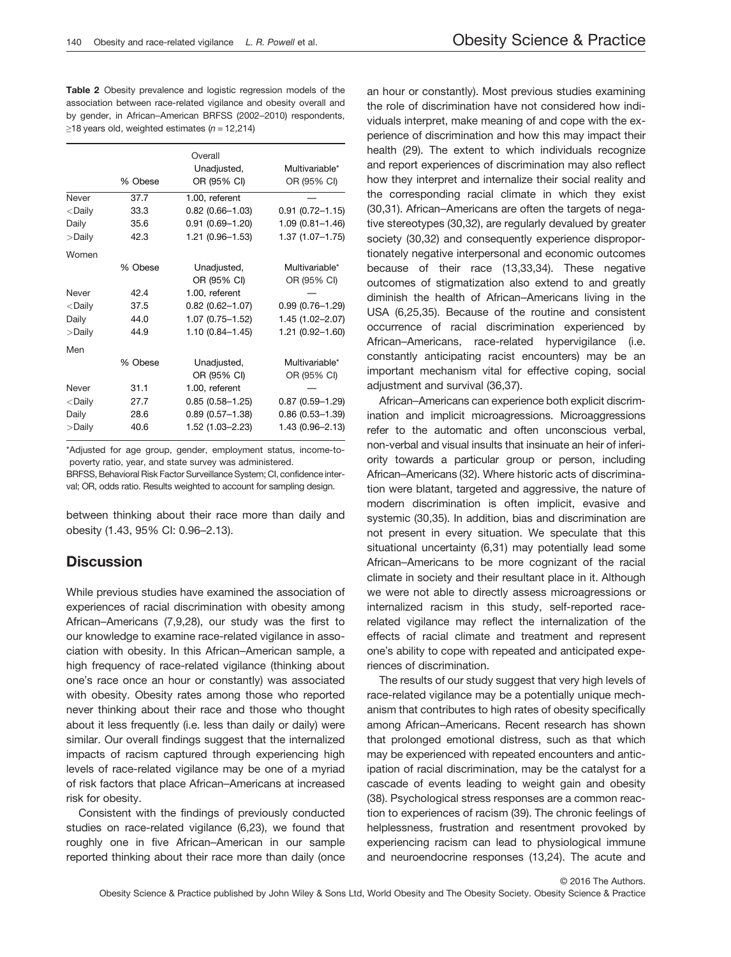Table 2 Obesity prevalence and logistic regression models of the association between race-related vigilance and obesity overall and by gender, in African–American BRFSS (2002–2010) respondents,  $>18$  years old, weighted estimates ( $n = 12.214$ )

|           |         | Overall<br>Unadjusted, | Multivariable*         |
|-----------|---------|------------------------|------------------------|
|           | % Obese | OR (95% CI)            | OR (95% CI)            |
| Never     | 37.7    | 1.00, referent         |                        |
| $<$ Daily | 33.3    | $0.82(0.66 - 1.03)$    | $0.91(0.72 - 1.15)$    |
| Daily     | 35.6    | $0.91(0.69 - 1.20)$    | $1.09(0.81 - 1.46)$    |
| >Daily    | 42.3    | 1.21 (0.96-1.53)       | $1.37(1.07 - 1.75)$    |
| Women     |         |                        |                        |
|           | % Obese | Unadjusted,            | Multivariable*         |
|           |         | OR (95% CI)            | OR (95% CI)            |
| Never     | 42.4    | 1.00, referent         |                        |
| $<$ Daily | 37.5    | $0.82(0.62 - 1.07)$    | $0.99(0.76 - 1.29)$    |
| Daily     | 44.0    | $1.07(0.75 - 1.52)$    | 1.45 (1.02-2.07)       |
| >Daily    | 44.9    | $1.10(0.84 - 1.45)$    | 1.21 (0.92-1.60)       |
| Men       |         |                        |                        |
|           | % Obese | Unadjusted,            | Multivariable*         |
|           |         | OR (95% CI)            | OR (95% CI)            |
| Never     | 31.1    | 1.00, referent         |                        |
| $<$ Daily | 27.7    | $0.85(0.58 - 1.25)$    | $0.87(0.59 - 1.29)$    |
| Daily     | 28.6    | $0.89(0.57 - 1.38)$    | $0.86$ $(0.53 - 1.39)$ |
| >Daily    | 40.6    | 1.52 (1.03-2.23)       | 1.43 (0.96-2.13)       |

\*Adjusted for age group, gender, employment status, income-topoverty ratio, year, and state survey was administered.

BRFSS, Behavioral Risk Factor Surveillance System; CI, confidence interval; OR, odds ratio. Results weighted to account for sampling design.

between thinking about their race more than daily and obesity (1.43, 95% CI: 0.96–2.13).

## **Discussion**

While previous studies have examined the association of experiences of racial discrimination with obesity among African–Americans (7,9,28), our study was the first to our knowledge to examine race-related vigilance in association with obesity. In this African–American sample, a high frequency of race-related vigilance (thinking about one's race once an hour or constantly) was associated with obesity. Obesity rates among those who reported never thinking about their race and those who thought about it less frequently (i.e. less than daily or daily) were similar. Our overall findings suggest that the internalized impacts of racism captured through experiencing high levels of race-related vigilance may be one of a myriad of risk factors that place African–Americans at increased risk for obesity.

Consistent with the findings of previously conducted studies on race-related vigilance (6,23), we found that roughly one in five African–American in our sample reported thinking about their race more than daily (once

an hour or constantly). Most previous studies examining the role of discrimination have not considered how individuals interpret, make meaning of and cope with the experience of discrimination and how this may impact their health (29). The extent to which individuals recognize and report experiences of discrimination may also reflect how they interpret and internalize their social reality and the corresponding racial climate in which they exist (30,31). African–Americans are often the targets of negative stereotypes (30,32), are regularly devalued by greater society (30,32) and consequently experience disproportionately negative interpersonal and economic outcomes because of their race (13,33,34). These negative outcomes of stigmatization also extend to and greatly diminish the health of African–Americans living in the USA (6,25,35). Because of the routine and consistent occurrence of racial discrimination experienced by African–Americans, race-related hypervigilance (i.e. constantly anticipating racist encounters) may be an important mechanism vital for effective coping, social adjustment and survival (36,37).

African–Americans can experience both explicit discrimination and implicit microagressions. Microaggressions refer to the automatic and often unconscious verbal, non-verbal and visual insults that insinuate an heir of inferiority towards a particular group or person, including African–Americans (32). Where historic acts of discrimination were blatant, targeted and aggressive, the nature of modern discrimination is often implicit, evasive and systemic (30,35). In addition, bias and discrimination are not present in every situation. We speculate that this situational uncertainty (6,31) may potentially lead some African–Americans to be more cognizant of the racial climate in society and their resultant place in it. Although we were not able to directly assess microagressions or internalized racism in this study, self-reported racerelated vigilance may reflect the internalization of the effects of racial climate and treatment and represent one's ability to cope with repeated and anticipated experiences of discrimination.

The results of our study suggest that very high levels of race-related vigilance may be a potentially unique mechanism that contributes to high rates of obesity specifically among African–Americans. Recent research has shown that prolonged emotional distress, such as that which may be experienced with repeated encounters and anticipation of racial discrimination, may be the catalyst for a cascade of events leading to weight gain and obesity (38). Psychological stress responses are a common reaction to experiences of racism (39). The chronic feelings of helplessness, frustration and resentment provoked by experiencing racism can lead to physiological immune and neuroendocrine responses (13,24). The acute and

© 2016 The Authors.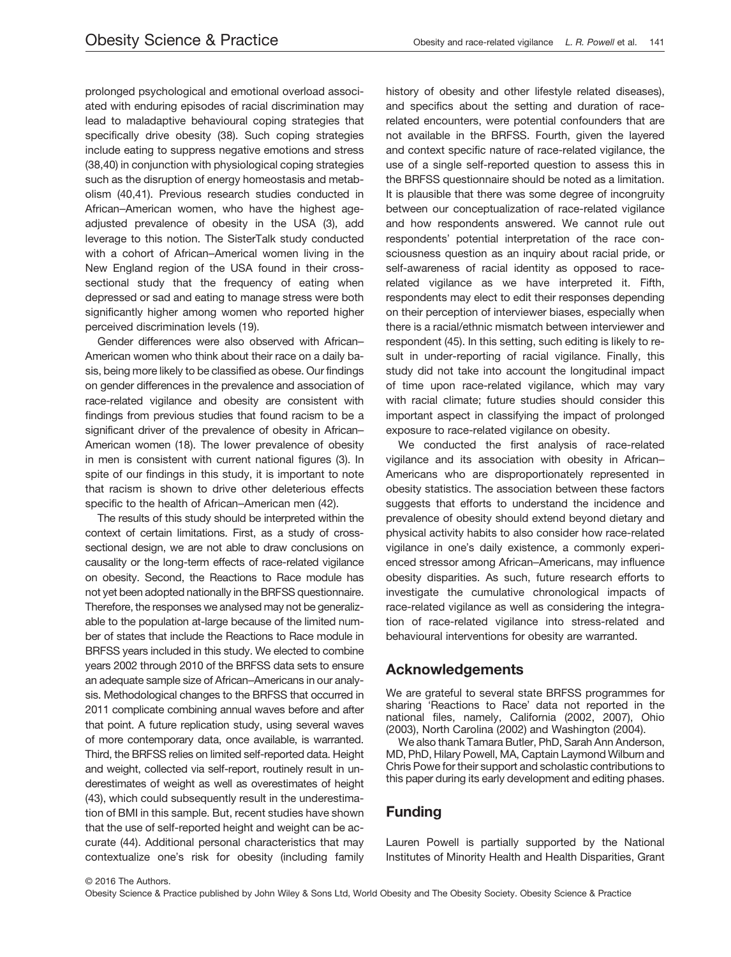prolonged psychological and emotional overload associated with enduring episodes of racial discrimination may lead to maladaptive behavioural coping strategies that specifically drive obesity (38). Such coping strategies include eating to suppress negative emotions and stress (38,40) in conjunction with physiological coping strategies such as the disruption of energy homeostasis and metabolism (40,41). Previous research studies conducted in African–American women, who have the highest ageadjusted prevalence of obesity in the USA (3), add leverage to this notion. The SisterTalk study conducted with a cohort of African–Americal women living in the New England region of the USA found in their crosssectional study that the frequency of eating when depressed or sad and eating to manage stress were both significantly higher among women who reported higher perceived discrimination levels (19).

Gender differences were also observed with African– American women who think about their race on a daily basis, being more likely to be classified as obese. Our findings on gender differences in the prevalence and association of race-related vigilance and obesity are consistent with findings from previous studies that found racism to be a significant driver of the prevalence of obesity in African– American women (18). The lower prevalence of obesity in men is consistent with current national figures (3). In spite of our findings in this study, it is important to note that racism is shown to drive other deleterious effects specific to the health of African–American men (42).

The results of this study should be interpreted within the context of certain limitations. First, as a study of crosssectional design, we are not able to draw conclusions on causality or the long-term effects of race-related vigilance on obesity. Second, the Reactions to Race module has not yet been adopted nationally in the BRFSS questionnaire. Therefore, the responses we analysed may not be generalizable to the population at-large because of the limited number of states that include the Reactions to Race module in BRFSS years included in this study. We elected to combine years 2002 through 2010 of the BRFSS data sets to ensure an adequate sample size of African–Americans in our analysis. Methodological changes to the BRFSS that occurred in 2011 complicate combining annual waves before and after that point. A future replication study, using several waves of more contemporary data, once available, is warranted. Third, the BRFSS relies on limited self-reported data. Height and weight, collected via self-report, routinely result in underestimates of weight as well as overestimates of height (43), which could subsequently result in the underestimation of BMI in this sample. But, recent studies have shown that the use of self-reported height and weight can be accurate (44). Additional personal characteristics that may contextualize one's risk for obesity (including family history of obesity and other lifestyle related diseases), and specifics about the setting and duration of racerelated encounters, were potential confounders that are not available in the BRFSS. Fourth, given the layered and context specific nature of race-related vigilance, the use of a single self-reported question to assess this in the BRFSS questionnaire should be noted as a limitation. It is plausible that there was some degree of incongruity between our conceptualization of race-related vigilance and how respondents answered. We cannot rule out respondents' potential interpretation of the race consciousness question as an inquiry about racial pride, or self-awareness of racial identity as opposed to racerelated vigilance as we have interpreted it. Fifth, respondents may elect to edit their responses depending on their perception of interviewer biases, especially when there is a racial/ethnic mismatch between interviewer and respondent (45). In this setting, such editing is likely to result in under-reporting of racial vigilance. Finally, this study did not take into account the longitudinal impact of time upon race-related vigilance, which may vary with racial climate; future studies should consider this important aspect in classifying the impact of prolonged exposure to race-related vigilance on obesity.

We conducted the first analysis of race-related vigilance and its association with obesity in African– Americans who are disproportionately represented in obesity statistics. The association between these factors suggests that efforts to understand the incidence and prevalence of obesity should extend beyond dietary and physical activity habits to also consider how race-related vigilance in one's daily existence, a commonly experienced stressor among African–Americans, may influence obesity disparities. As such, future research efforts to investigate the cumulative chronological impacts of race-related vigilance as well as considering the integration of race-related vigilance into stress-related and behavioural interventions for obesity are warranted.

## Acknowledgements

We are grateful to several state BRFSS programmes for sharing 'Reactions to Race' data not reported in the national files, namely, California (2002, 2007), Ohio (2003), North Carolina (2002) and Washington (2004).

We also thank Tamara Butler, PhD, Sarah Ann Anderson, MD, PhD, Hilary Powell, MA, Captain Laymond Wilburn and Chris Powe for their support and scholastic contributions to this paper during its early development and editing phases.

## Funding

Lauren Powell is partially supported by the National Institutes of Minority Health and Health Disparities, Grant

© 2016 The Authors.

Obesity Science & Practice published by John Wiley & Sons Ltd, World Obesity and The Obesity Society. Obesity Science & Practice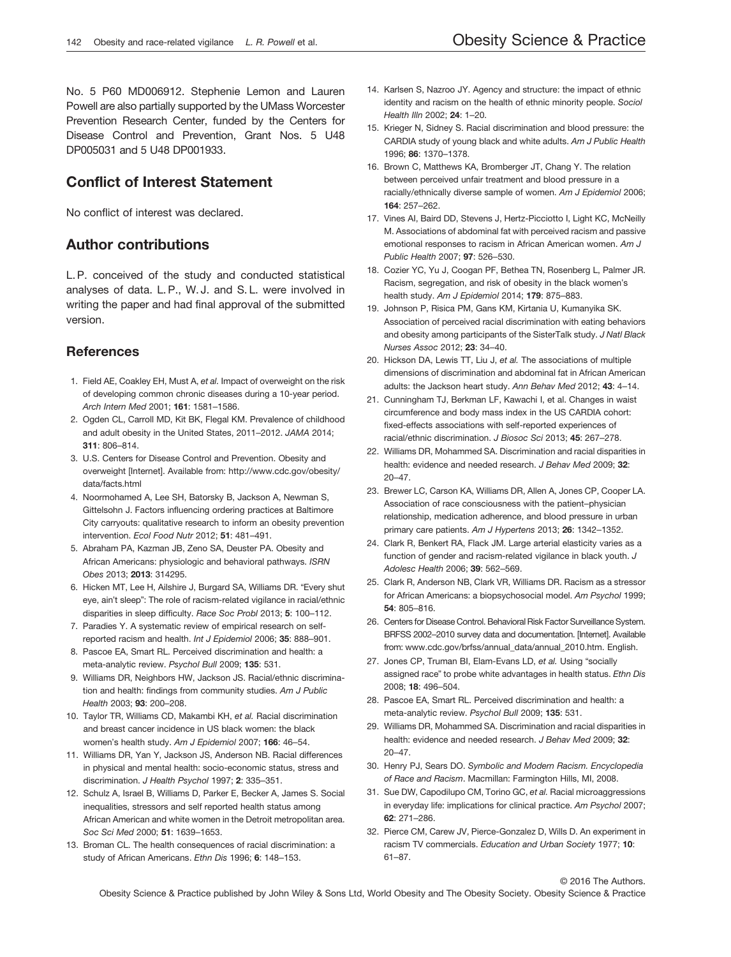No. 5 P60 MD006912. Stephenie Lemon and Lauren Powell are also partially supported by the UMass Worcester Prevention Research Center, funded by the Centers for Disease Control and Prevention, Grant Nos. 5 U48 DP005031 and 5 U48 DP001933.

## Conflict of Interest Statement

No conflict of interest was declared.

## Author contributions

L. P. conceived of the study and conducted statistical analyses of data. L. P., W. J. and S. L. were involved in writing the paper and had final approval of the submitted version.

## **References**

- 1. Field AE, Coakley EH, Must A, et al. Impact of overweight on the risk of developing common chronic diseases during a 10-year period. Arch Intern Med 2001; 161: 1581–1586.
- 2. Ogden CL, Carroll MD, Kit BK, Flegal KM. Prevalence of childhood and adult obesity in the United States, 2011–2012. JAMA 2014; 311: 806–814.
- 3. U.S. Centers for Disease Control and Prevention. Obesity and overweight [Internet]. Available from: [http://www.cdc.gov/obesity/](http://www.cdc.gov/obesity/data/facts.html) [data/facts.html](http://www.cdc.gov/obesity/data/facts.html)
- 4. Noormohamed A, Lee SH, Batorsky B, Jackson A, Newman S, Gittelsohn J. Factors influencing ordering practices at Baltimore City carryouts: qualitative research to inform an obesity prevention intervention. Ecol Food Nutr 2012; 51: 481–491.
- 5. Abraham PA, Kazman JB, Zeno SA, Deuster PA. Obesity and African Americans: physiologic and behavioral pathways. ISRN Obes 2013; 2013: 314295.
- 6. Hicken MT, Lee H, Ailshire J, Burgard SA, Williams DR. "Every shut eye, ain't sleep": The role of racism-related vigilance in racial/ethnic disparities in sleep difficulty. Race Soc Probl 2013; 5: 100–112.
- 7. Paradies Y. A systematic review of empirical research on selfreported racism and health. Int J Epidemiol 2006; 35: 888-901.
- 8. Pascoe EA, Smart RL. Perceived discrimination and health: a meta-analytic review. Psychol Bull 2009; 135: 531.
- 9. Williams DR, Neighbors HW, Jackson JS. Racial/ethnic discrimination and health: findings from community studies. Am J Public Health 2003; 93: 200-208.
- 10. Taylor TR, Williams CD, Makambi KH, et al. Racial discrimination and breast cancer incidence in US black women: the black women's health study. Am J Epidemiol 2007; 166: 46–54.
- 11. Williams DR, Yan Y, Jackson JS, Anderson NB. Racial differences in physical and mental health: socio-economic status, stress and discrimination. J Health Psychol 1997; 2: 335–351.
- 12. Schulz A, Israel B, Williams D, Parker E, Becker A, James S. Social inequalities, stressors and self reported health status among African American and white women in the Detroit metropolitan area. Soc Sci Med 2000; 51: 1639–1653.
- 13. Broman CL. The health consequences of racial discrimination: a study of African Americans. Ethn Dis 1996; 6: 148–153.
- 14. Karlsen S, Nazroo JY. Agency and structure: the impact of ethnic identity and racism on the health of ethnic minority people. Sociol Health Illn 2002; 24: 1–20.
- 15. Krieger N, Sidney S. Racial discrimination and blood pressure: the CARDIA study of young black and white adults. Am J Public Health 1996; 86: 1370–1378.
- 16. Brown C, Matthews KA, Bromberger JT, Chang Y. The relation between perceived unfair treatment and blood pressure in a racially/ethnically diverse sample of women. Am J Epidemiol 2006; 164: 257–262.
- 17. Vines AI, Baird DD, Stevens J, Hertz-Picciotto I, Light KC, McNeilly M. Associations of abdominal fat with perceived racism and passive emotional responses to racism in African American women. Am J Public Health 2007; 97: 526–530.
- 18. Cozier YC, Yu J, Coogan PF, Bethea TN, Rosenberg L, Palmer JR. Racism, segregation, and risk of obesity in the black women's health study. Am J Epidemiol 2014; 179: 875-883.
- 19. Johnson P, Risica PM, Gans KM, Kirtania U, Kumanyika SK. Association of perceived racial discrimination with eating behaviors and obesity among participants of the SisterTalk study. J Natl Black Nurses Assoc 2012; 23: 34–40.
- 20. Hickson DA, Lewis TT, Liu J, et al. The associations of multiple dimensions of discrimination and abdominal fat in African American adults: the Jackson heart study. Ann Behav Med 2012; 43: 4–14.
- 21. Cunningham TJ, Berkman LF, Kawachi I, et al. Changes in waist circumference and body mass index in the US CARDIA cohort: fixed-effects associations with self-reported experiences of racial/ethnic discrimination. J Biosoc Sci 2013; 45: 267–278.
- 22. Williams DR, Mohammed SA. Discrimination and racial disparities in health: evidence and needed research. J Behav Med 2009; 32: 20–47.
- 23. Brewer LC, Carson KA, Williams DR, Allen A, Jones CP, Cooper LA. Association of race consciousness with the patient–physician relationship, medication adherence, and blood pressure in urban primary care patients. Am J Hypertens 2013; 26: 1342-1352.
- 24. Clark R, Benkert RA, Flack JM. Large arterial elasticity varies as a function of gender and racism-related vigilance in black youth. J Adolesc Health 2006; 39: 562–569.
- 25. Clark R, Anderson NB, Clark VR, Williams DR. Racism as a stressor for African Americans: a biopsychosocial model. Am Psychol 1999; 54: 805–816.
- 26. Centers for Disease Control. Behavioral Risk Factor Surveillance System. BRFSS 2002–2010 survey data and documentation. [Internet]. Available from: [www.cdc.gov/brfss/annual\\_data/annual\\_2010.htm.](http://www.cdc.gov/brfss/annual_data/annual_2010.htm) English.
- 27. Jones CP, Truman BI, Elam-Evans LD, et al. Using "socially assigned race" to probe white advantages in health status. Ethn Dis 2008; 18: 496–504.
- 28. Pascoe EA, Smart RL. Perceived discrimination and health: a meta-analytic review. Psychol Bull 2009; 135: 531.
- 29. Williams DR, Mohammed SA. Discrimination and racial disparities in health: evidence and needed research. J Behav Med 2009; 32: 20–47.
- 30. Henry PJ, Sears DO. Symbolic and Modern Racism. Encyclopedia of Race and Racism. Macmillan: Farmington Hills, MI, 2008.
- 31. Sue DW, Capodilupo CM, Torino GC, et al. Racial microaggressions in everyday life: implications for clinical practice. Am Psychol 2007; 62: 271–286.
- 32. Pierce CM, Carew JV, Pierce-Gonzalez D, Wills D. An experiment in racism TV commercials. Education and Urban Society 1977; 10: 61–87.

© 2016 The Authors.

Obesity Science & Practice published by John Wiley & Sons Ltd, World Obesity and The Obesity Society. Obesity Science & Practice